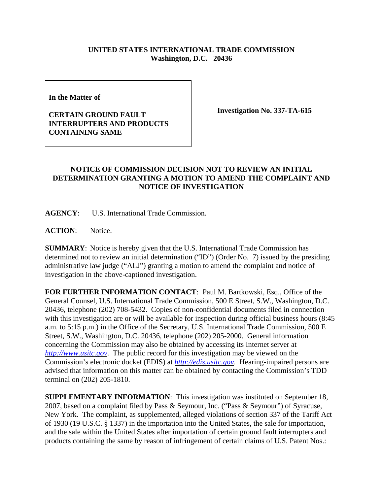## **UNITED STATES INTERNATIONAL TRADE COMMISSION Washington, D.C. 20436**

**In the Matter of** 

## **CERTAIN GROUND FAULT INTERRUPTERS AND PRODUCTS CONTAINING SAME**

**Investigation No. 337-TA-615**

## **NOTICE OF COMMISSION DECISION NOT TO REVIEW AN INITIAL DETERMINATION GRANTING A MOTION TO AMEND THE COMPLAINT AND NOTICE OF INVESTIGATION**

**AGENCY**: U.S. International Trade Commission.

**ACTION**: Notice.

**SUMMARY**: Notice is hereby given that the U.S. International Trade Commission has determined not to review an initial determination ("ID") (Order No. 7) issued by the presiding administrative law judge ("ALJ") granting a motion to amend the complaint and notice of investigation in the above-captioned investigation.

**FOR FURTHER INFORMATION CONTACT**: Paul M. Bartkowski, Esq., Office of the General Counsel, U.S. International Trade Commission, 500 E Street, S.W., Washington, D.C. 20436, telephone (202) 708-5432. Copies of non-confidential documents filed in connection with this investigation are or will be available for inspection during official business hours (8:45 a.m. to 5:15 p.m.) in the Office of the Secretary, U.S. International Trade Commission, 500 E Street, S.W., Washington, D.C. 20436, telephone (202) 205-2000. General information concerning the Commission may also be obtained by accessing its Internet server at *http://www.usitc.gov*. The public record for this investigation may be viewed on the Commission's electronic docket (EDIS) at *http://edis.usitc.gov*. Hearing-impaired persons are advised that information on this matter can be obtained by contacting the Commission's TDD terminal on (202) 205-1810.

**SUPPLEMENTARY INFORMATION**: This investigation was instituted on September 18, 2007, based on a complaint filed by Pass & Seymour, Inc. ("Pass & Seymour") of Syracuse, New York. The complaint, as supplemented, alleged violations of section 337 of the Tariff Act of 1930 (19 U.S.C. § 1337) in the importation into the United States, the sale for importation, and the sale within the United States after importation of certain ground fault interrupters and products containing the same by reason of infringement of certain claims of U.S. Patent Nos.: